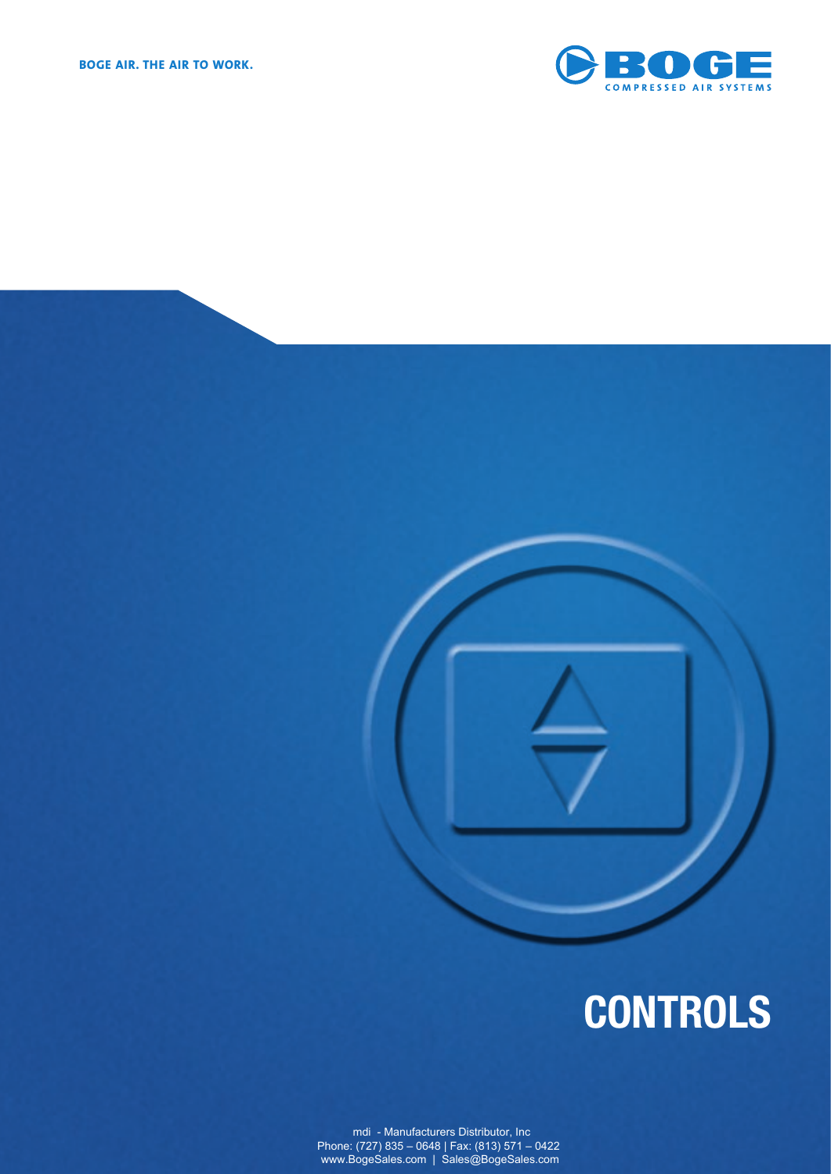

# **CONTROLS**

mdi - Manufacturers Distributor, Inc Phone: (727) 835 – 0648 | Fax: (813) 571 – 0422 www.BogeSales.com | Sales@BogeSales.com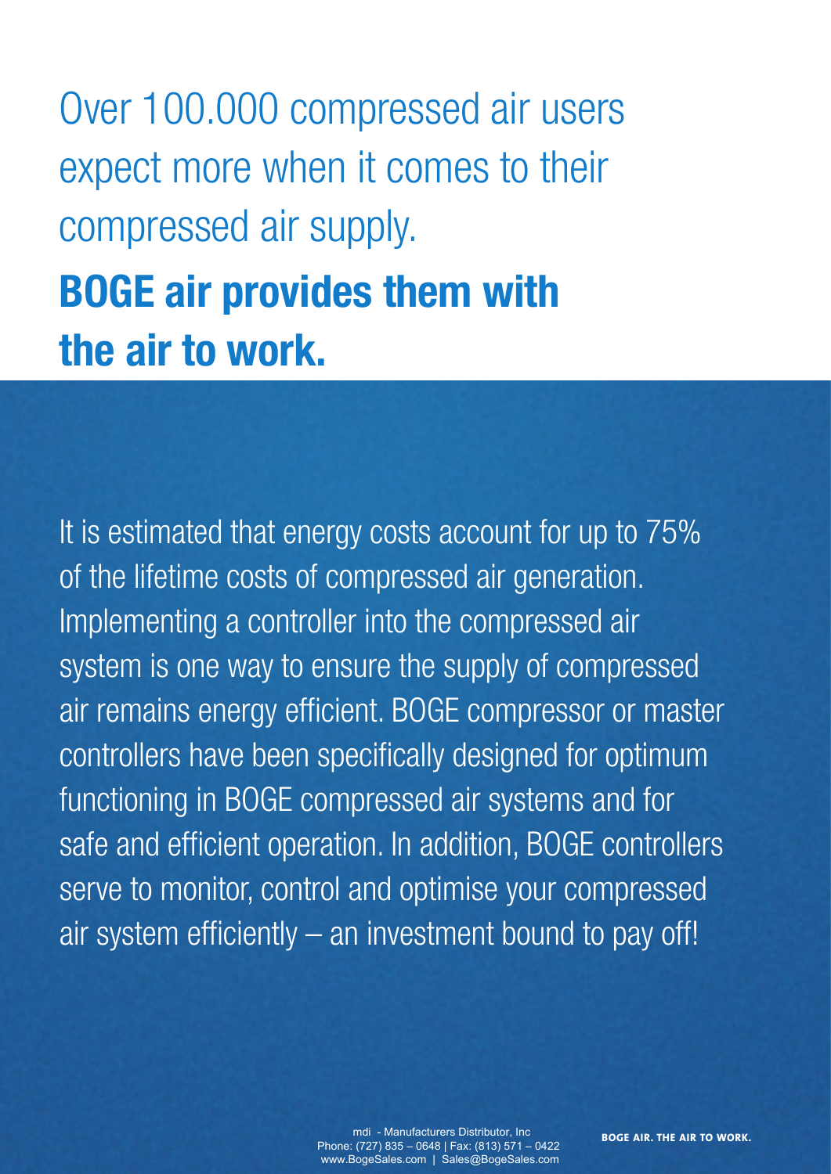Over 100.000 compressed air users expect more when it comes to their compressed air supply. **BOGE air provides them with** 

# **the air to work.**

It is estimated that energy costs account for up to 75% of the lifetime costs of compressed air generation. Implementing a controller into the compressed air system is one way to ensure the supply of compressed air remains energy efficient. BOGE compressor or master controllers have been specifically designed for optimum functioning in BOGE compressed air systems and for safe and efficient operation. In addition, BOGE controllers serve to monitor, control and optimise your compressed air system efficiently  $-$  an investment bound to pay off!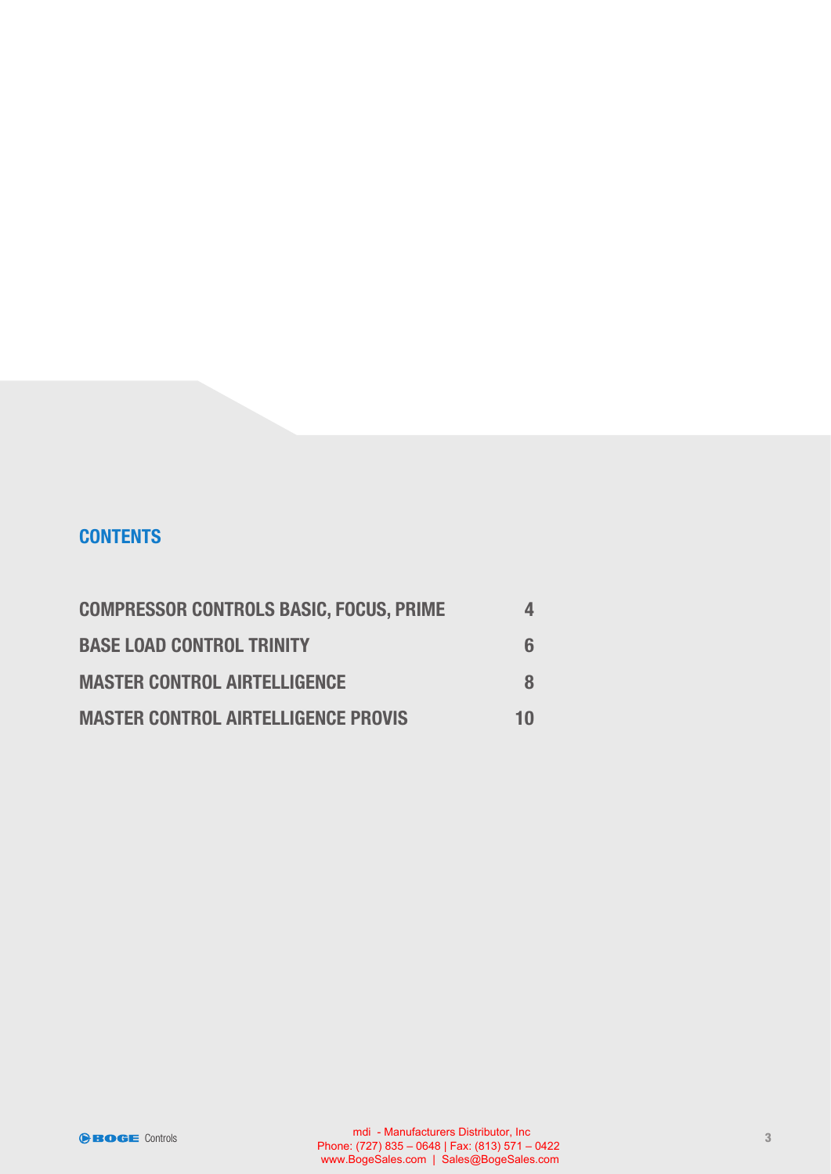# **CONTENTS**

| <b>COMPRESSOR CONTROLS BASIC, FOCUS, PRIME</b> |    |
|------------------------------------------------|----|
| <b>BASE LOAD CONTROL TRINITY</b>               |    |
| <b>MASTER CONTROL AIRTELLIGENCE</b>            | 8  |
| <b>MASTER CONTROL AIRTELLIGENCE PROVIS</b>     | 10 |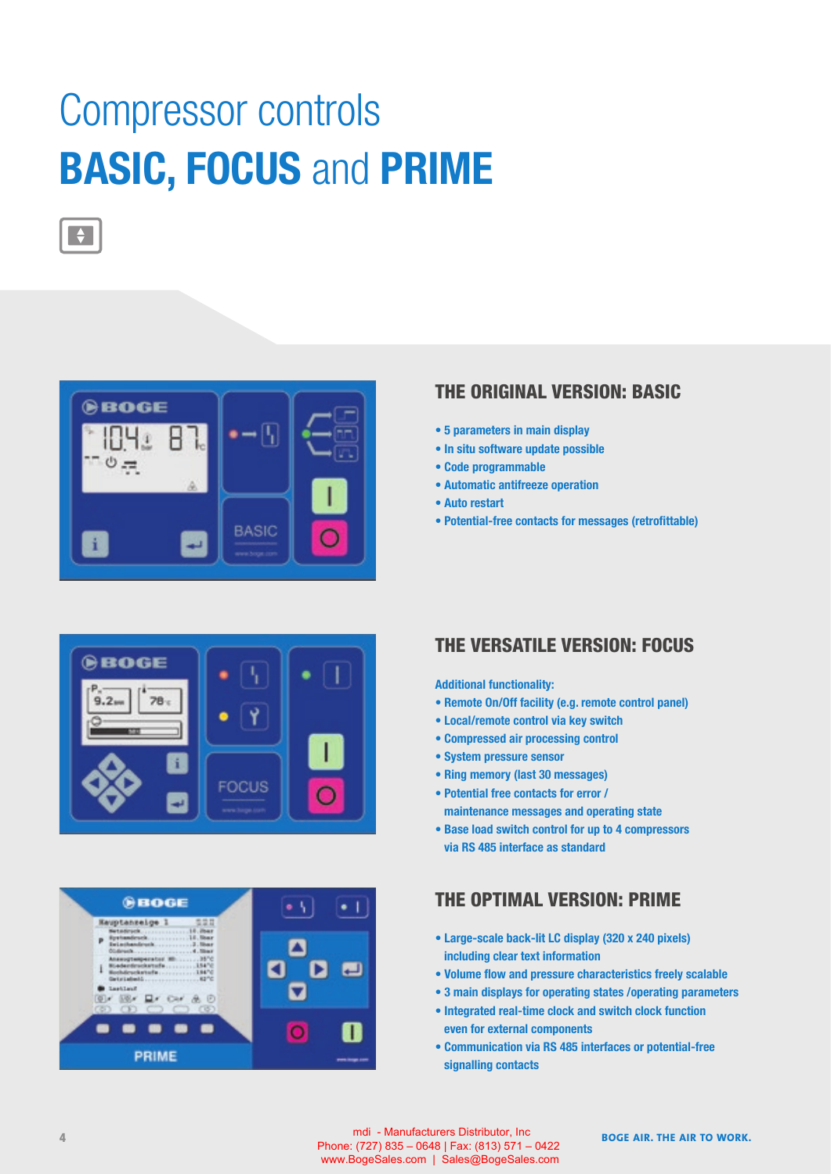# Compressor controls **BASIC, FOCUS** and **PRIME**



 $\rightarrow$ 





# **THE ORIGINAL VERSION: BASIC**

- **5 parameters in main display**
- **In situ software update possible**
- **Code programmable**
- **Automatic antifreeze operation**
- **Auto restart**
- Potential-free contacts for messages (retrofittable)

# **THE VERSATILE VERSION: FOCUS**

#### **Additional functionality:**

- **Remote On/Off facility (e.g. remote control panel)**
- **Local/remote control via key switch**
- **Compressed air processing control**
- **System pressure sensor**
- **Ring memory (last 30 messages)**
- **Potential free contacts for error / maintenance messages and operating state**
- **Base load switch control for up to 4 compressors via RS 485 interface as standard**

# **THE OPTIMAL VERSION: PRIME**

- **Large-scale back-lit LC display (320 x 240 pixels) including clear text information**
- Volume flow and pressure characteristics freely scalable
- **3 main displays for operating states /operating parameters**
- **Integrated real-time clock and switch clock function even for external components**
- **Communication via RS 485 interfaces or potential-free signalling contacts**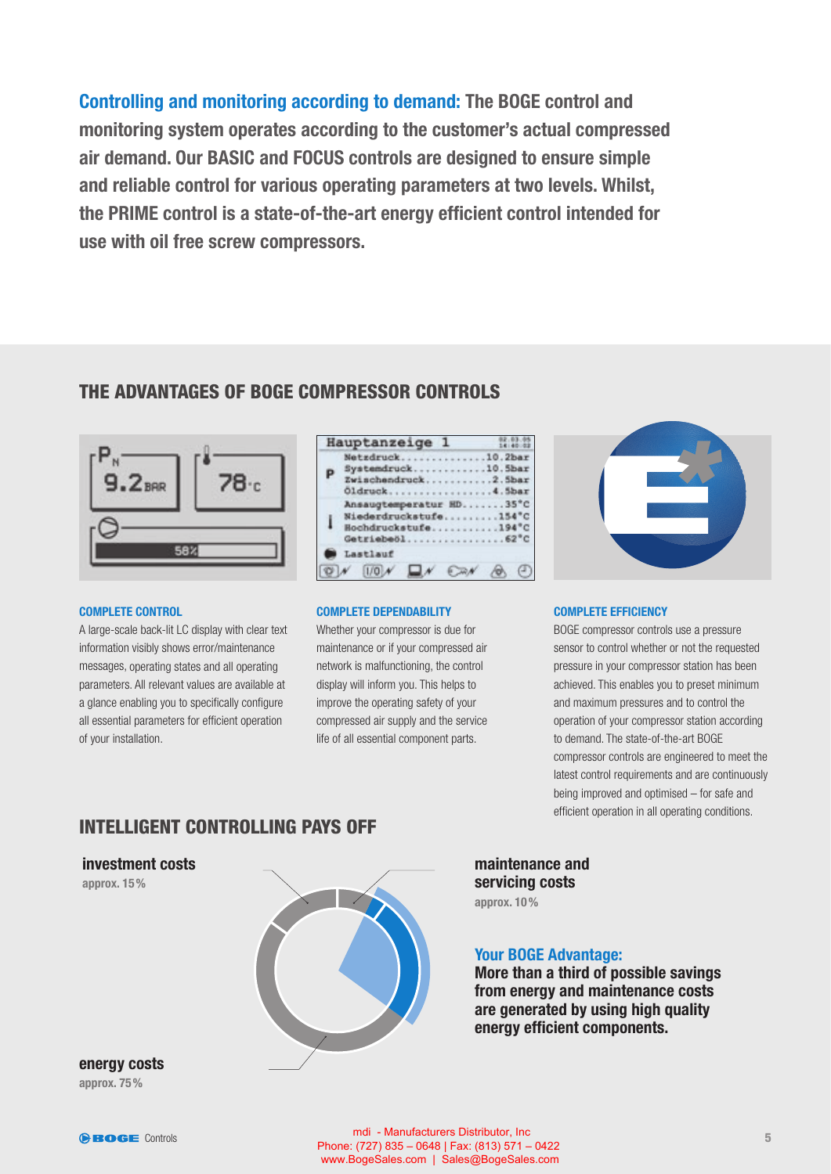**Controlling and monitoring according to demand: The BOGE control and monitoring system operates according to the customer's actual compressed air demand. Our BASIC and FOCUS controls are designed to ensure simple and reliable control for various operating parameters at two levels. Whilst,**  the PRIME control is a state-of-the-art energy efficient control intended for **use with oil free screw compressors.** 

# **THE ADVANTAGES OF BOGE COMPRESSOR CONTROLS**



#### **COMPLETE CONTROL**

A large-scale back-lit LC display with clear text information visibly shows error/maintenance messages, operating states and all operating parameters. All relevant values are available at a glance enabling you to specifically configure all essential parameters for efficient operation of your installation.

|   | 02,03,05<br>Hauptanzeige 1                                                     |
|---|--------------------------------------------------------------------------------|
| P | Netzdruck10.2bar<br>Systemdruck10.5bar<br>Zwischendruck2.5bar<br>Oldruck4.5bar |
| İ | Ansaugtemperatur HD35°C<br>Niederdruckstufe154°C<br>Hochdruckstufe194°C        |
|   | Lastlauf                                                                       |
|   | 1/0                                                                            |

#### **COMPLETE DEPENDABILITY**

Whether your compressor is due for maintenance or if your compressed air network is malfunctioning, the control display will inform you. This helps to improve the operating safety of your compressed air supply and the service life of all essential component parts.



#### **COMPLETE EFFICIENCY**

BOGE compressor controls use a pressure sensor to control whether or not the requested pressure in your compressor station has been achieved. This enables you to preset minimum and maximum pressures and to control the operation of your compressor station according to demand. The state-of-the-art BOGE compressor controls are engineered to meet the latest control requirements and are continuously being improved and optimised – for safe and efficient operation in all operating conditions.

# **INTELLIGENT CONTROLLING PAYS OFF**

**investment costs** 

**approx. 15 %**



**maintenance and servicing costs approx. 10 %**

# **Your BOGE Advantage:**

**More than a third of possible savings from energy and maintenance costs are generated by using high quality energy efficient components.** 

**energy costs approx. 75 %**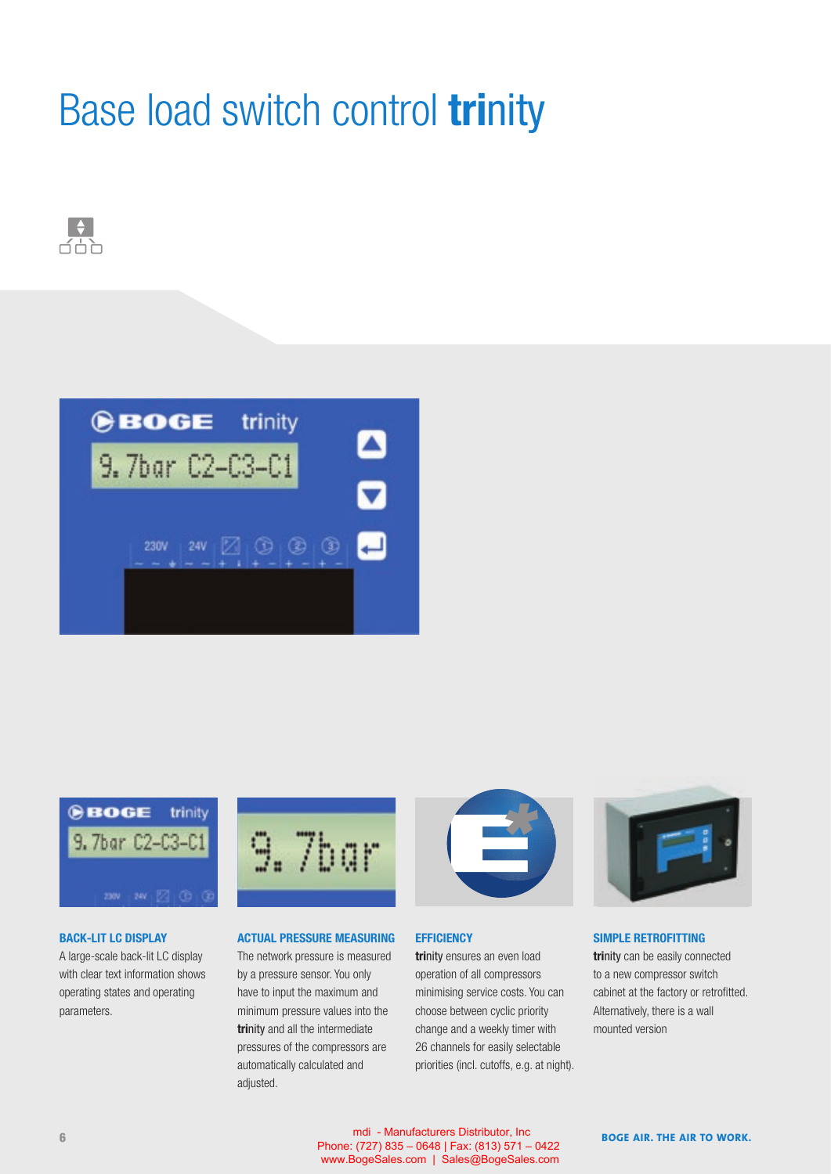# Base load switch control **tri**nity







#### **BACK-LIT LC DISPLAY**

A large-scale back-lit LC display with clear text information shows operating states and operating parameters.



## **ACTUAL PRESSURE MEASURING**

The network pressure is measured by a pressure sensor. You only have to input the maximum and minimum pressure values into the **trinity** and all the intermediate pressures of the compressors are automatically calculated and adjusted.



## **EFFICIENCY**

**tri**nity ensures an even load operation of all compressors minimising service costs. You can choose between cyclic priority change and a weekly timer with 26 channels for easily selectable priorities (incl. cutoffs, e.g. at night).



## **SIMPLE RETROFITTING**

**tri**nity can be easily connected to a new compressor switch cabinet at the factory or retrofitted. Alternatively, there is a wall mounted version

**6 BOGE AIR. THE AIR TO WORK. BOGE AIR. THE AIR TO WORK.**  mdi - Manufacturers Distributor, Inc Phone: (727) 835 – 0648 | Fax: (813) 571 – 0422 www.BogeSales.com | Sales@BogeSales.com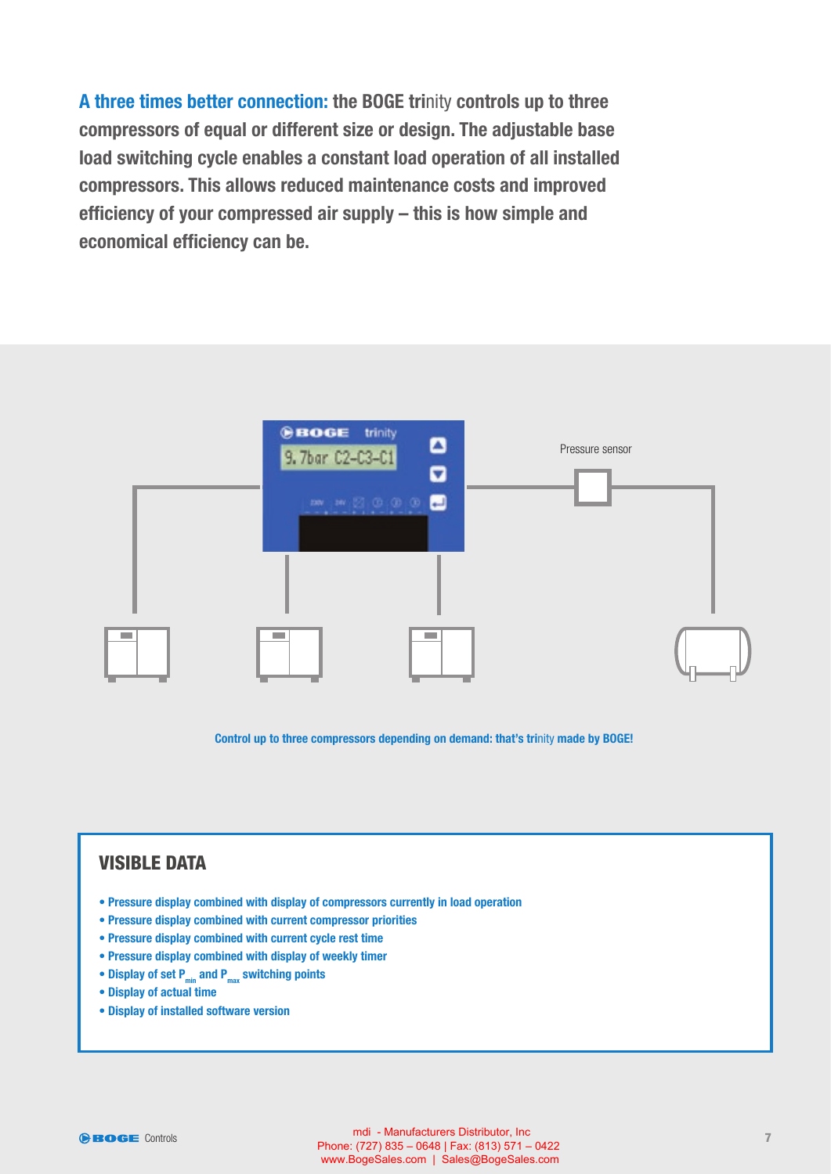**A three times better connection: the BOGE tri**nity **controls up to three compressors of equal or different size or design. The adjustable base load switching cycle enables a constant load operation of all installed compressors. This allows reduced maintenance costs and improved effi ciency of your compressed air supply – this is how simple and economical efficiency can be.** 



**Control up to three compressors depending on demand: that's tri**nity **made by BOGE!**

# **VISIBLE DATA**

- **Pressure display combined with display of compressors currently in load operation**
- **Pressure display combined with current compressor priorities**
- **Pressure display combined with current cycle rest time**
- **Pressure display combined with display of weekly timer**
- Display of set P<sub>min</sub> and P<sub>max</sub> switching points
- **Display of actual time**
- **Display of installed software version**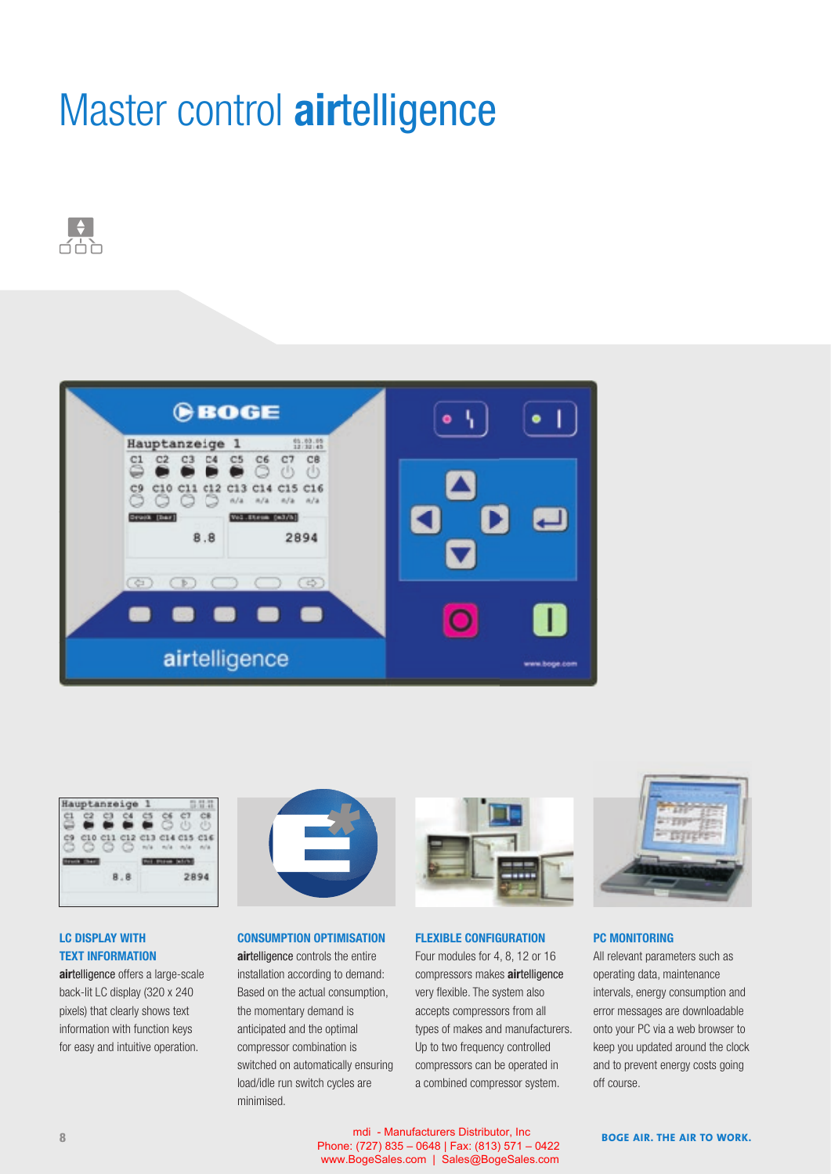# Master control **air**telligence







# **LC DISPLAY WITH TEXT INFORMATION**

**airtelligence offers a large-scale** back-lit LC display (320 x 240 pixels) that clearly shows text information with function keys for easy and intuitive operation.



## **CONSUMPTION OPTIMISATION**

**air**telligence controls the entire installation according to demand: Based on the actual consumption, the momentary demand is anticipated and the optimal compressor combination is switched on automatically ensuring load/idle run switch cycles are minimised.



#### **FLEXIBLE CONFIGURATION**

Four modules for 4, 8, 12 or 16 compressors makes **air**telligence very flexible. The system also accepts compressors from all types of makes and manufacturers. Up to two frequency controlled compressors can be operated in a combined compressor system.



# **PC MONITORING**

All relevant parameters such as operating data, maintenance intervals, energy consumption and error messages are downloadable onto your PC via a web browser to keep you updated around the clock and to prevent energy costs going off course.

**8 BOGE AIR. THE AIR TO WORK. BOGE AIR. THE AIR TO WORK.**  mdi - Manufacturers Distributor, Inc Phone: (727) 835 – 0648 | Fax: (813) 571 – 0422 www.BogeSales.com | Sales@BogeSales.com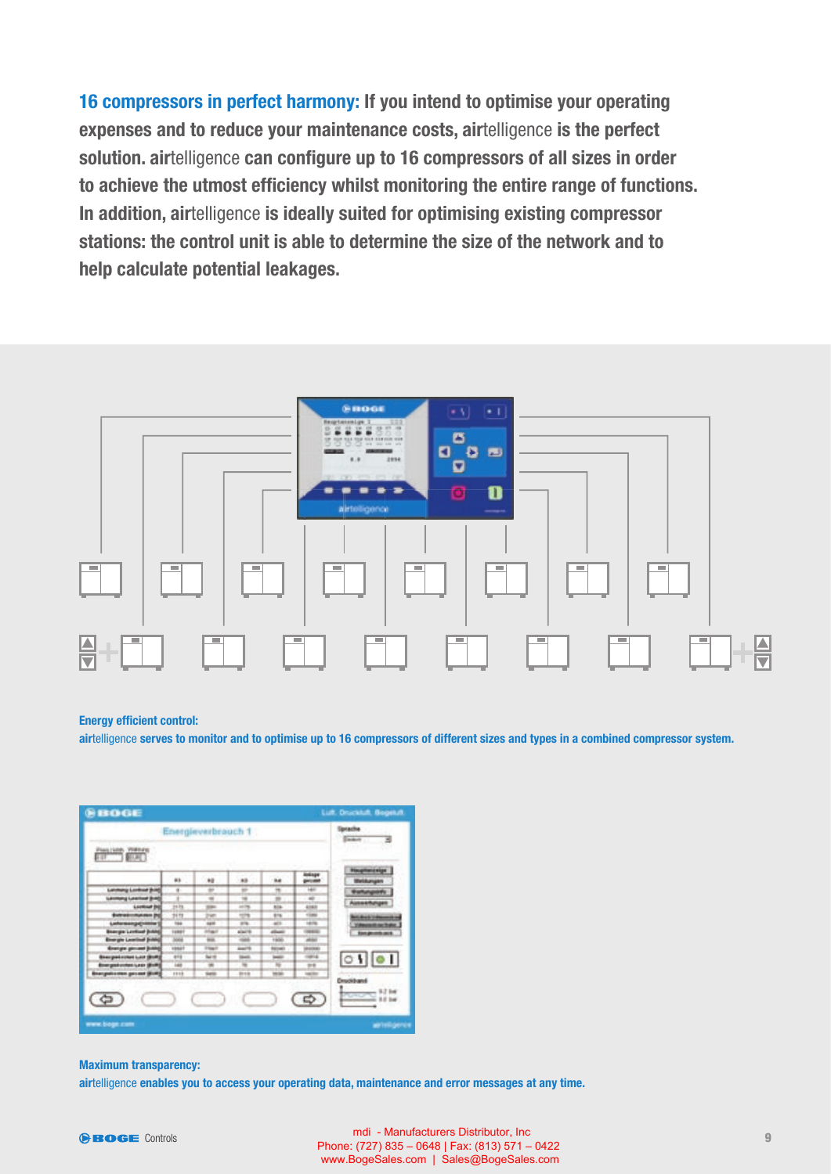**16 compressors in perfect harmony: If you intend to optimise your operating expenses and to reduce your maintenance costs, air**telligence **is the perfect**  solution. airtelligence can configure up to 16 compressors of all sizes in order to achieve the utmost efficiency whilst monitoring the entire range of functions. **In addition, air**telligence **is ideally suited for optimising existing compressor stations: the control unit is able to determine the size of the network and to help calculate potential leakages.** 



#### **Energy efficient control:**

**air**telligence **serves to monitor and to optimise up to 16 compressors of different sizes and types in a combined compressor system.** 

| Energieverbrauch 1                    | <b>Santache</b><br>∃<br><b>Same</b> |                          |              |               |               |                                         |
|---------------------------------------|-------------------------------------|--------------------------|--------------|---------------|---------------|-----------------------------------------|
| <b>COMMISSION</b>                     |                                     |                          |              |               |               |                                         |
|                                       | $\blacksquare$                      | $+1$                     | **           | 54            | totaps<br>=== | <b>Hougheidslgs</b>                     |
| Lakshang Lordoud (bidd)               | ٠                                   |                          |              |               | <b>Hall</b>   | <b><i><u>Statutuports</u></i></b>       |
| <b><i>Laurence Learned Bridge</i></b> |                                     | ×                        |              |               | $\sim$        |                                         |
| <b>Looking Bd</b>                     | 21.73                               |                          | and the      | <b>ROA</b>    | 4163          | Aimeerhaupen                            |
| <b>Extrakcington (N)</b>              | 21.73                               | <b>Traum</b>             |              | <b>Els</b>    | <b>Video</b>  | <b>All of the full professional and</b> |
| Listensengation                       | <b>TOM</b>                          | <b>SAFER</b>             | on the       | $-$           | taking        |                                         |
| <b>Brangle Lonked (total)</b>         | <b>Lodge</b>                        | <b>Hard</b>              | <b>AGAIN</b> | -             | -             | <b>SHARING AVE</b>                      |
| <b>Energie Learlind Bridge</b>        | <b>SOUTH</b>                        | man.                     | ☜            | <b>Tax</b>    | -             |                                         |
| <b>Knocker person (Listin)</b>        | <b>VANA</b>                         | <b>Printed</b>           | <b>AMPR</b>  | <b>BECAUS</b> | <b>HORNE</b>  |                                         |
| <b>Bluegasternes Law (Bring)</b>      | 111                                 | <b>Said</b>              | <b>March</b> | $-$           | <b>HARLIN</b> | 0101                                    |
| <b>Energiebunken Lest (Bulk)</b>      | m                                   | $\overline{\phantom{a}}$ | ÷            |               | $-1$          |                                         |
| <b>Brangedoction galvest (BURS)</b>   | 1111                                | tietik                   | <b>Break</b> | <b>HEIGH</b>  | <b>LASTER</b> | <b>Cruckband</b>                        |

#### **Maximum transparency:**

**air**telligence **enables you to access your operating data, maintenance and error messages at any time.**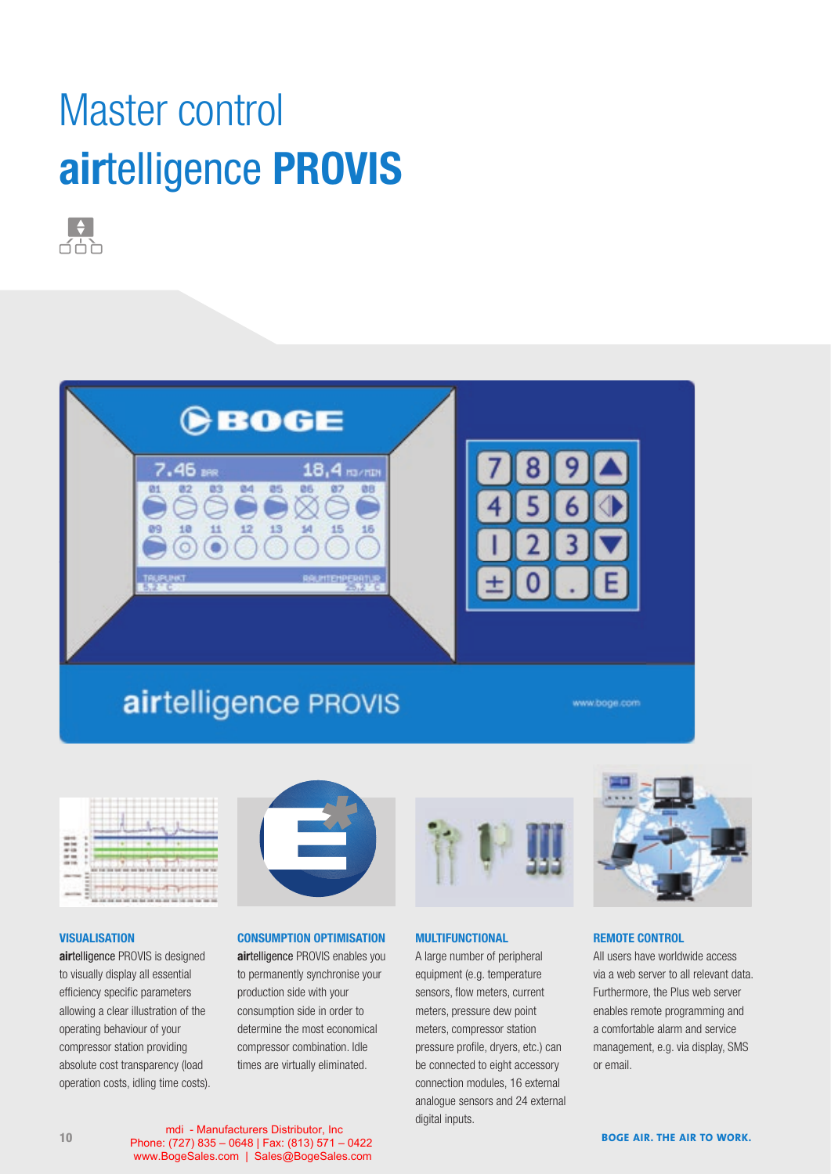# Master control **air**telligence **PROVIS**





# airtelligence PROVIS

v.boge.com



## **VISUALISATION**

**air**telligence PROVIS is designed to visually display all essential efficiency specific parameters allowing a clear illustration of the operating behaviour of your compressor station providing absolute cost transparency (load operation costs, idling time costs).



## **CONSUMPTION OPTIMISATION**

**air**telligence PROVIS enables you to permanently synchronise your production side with your consumption side in order to determine the most economical compressor combination. Idle times are virtually eliminated.



# **MULTIFUNCTIONAL**

A large number of peripheral equipment (e.g. temperature sensors, flow meters, current meters, pressure dew point meters, compressor station pressure profile, dryers, etc.) can be connected to eight accessory connection modules, 16 external analogue sensors and 24 external digital inputs.



# **REMOTE CONTROL**

All users have worldwide access via a web server to all relevant data. Furthermore, the Plus web server enables remote programming and a comfortable alarm and service management, e.g. via display, SMS or email.

**10 BOGE AIR. THE AIR TO WORK.** Phone: (727) 835 – 0648 | Fax: (813) 571 – 0422 mdi - Manufacturers Distributor, Inc www.BogeSales.com | Sales@BogeSales.com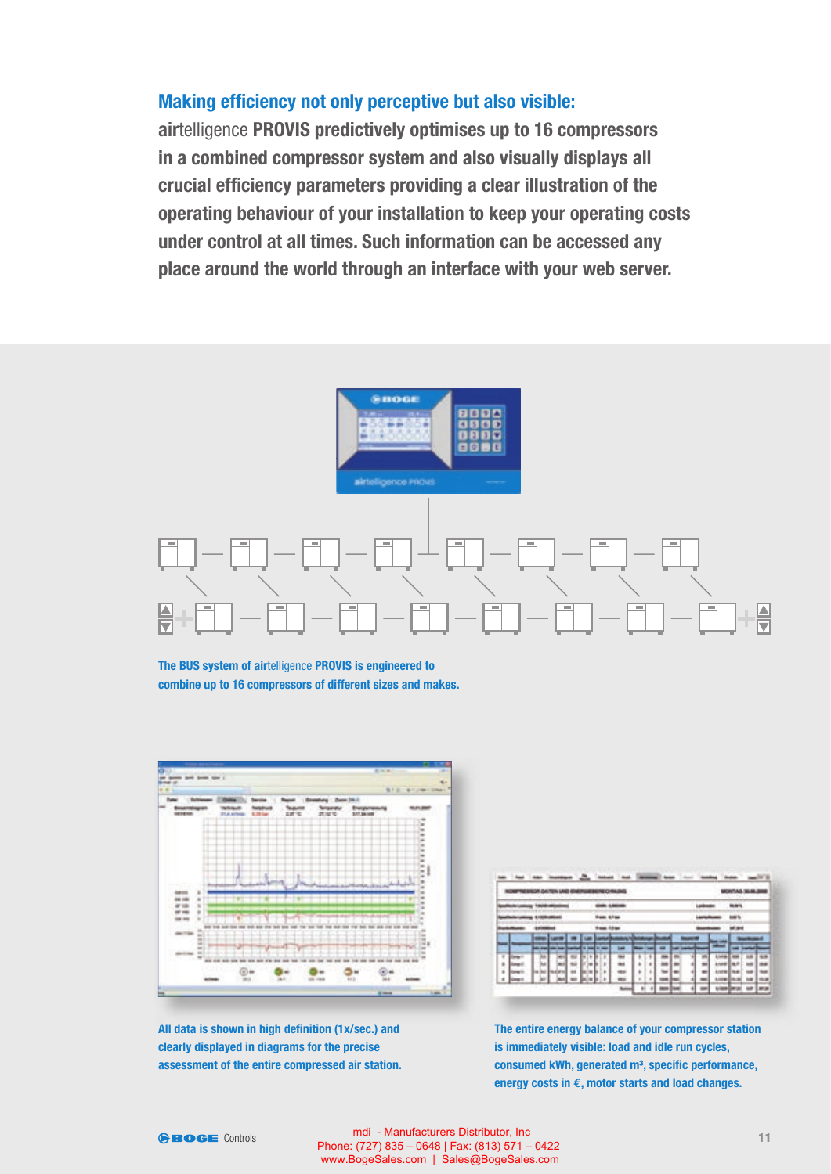# **Making efficiency not only perceptive but also visible:**

**air**telligence **PROVIS predictively optimises up to 16 compressors in a combined compressor system and also visually displays all**  crucial efficiency parameters providing a clear illustration of the **operating behaviour of your installation to keep your operating costs under control at all times. Such information can be accessed any place around the world through an interface with your web server.**



**The BUS system of air**telligence **PROVIS is engineered to combine up to 16 compressors of different sizes and makes.** 



All data is shown in high definition (1x/sec.) and **clearly displayed in diagrams for the precise assessment of the entire compressed air station.** 

|   |  |   |  |        |  |  |  |  |  | ÷          |   |   |   |      |   |  | <b>KINDADI</b> |  | ╸ |
|---|--|---|--|--------|--|--|--|--|--|------------|---|---|---|------|---|--|----------------|--|---|
|   |  |   |  |        |  |  |  |  |  |            |   |   |   | eas. |   |  |                |  |   |
|   |  |   |  | \$7.94 |  |  |  |  |  |            |   |   | m |      |   |  |                |  |   |
|   |  |   |  |        |  |  |  |  |  | 10.04      |   |   |   |      |   |  |                |  |   |
|   |  |   |  |        |  |  |  |  |  |            |   |   |   |      |   |  |                |  |   |
|   |  |   |  |        |  |  |  |  |  |            |   |   |   |      |   |  |                |  |   |
| ٦ |  |   |  |        |  |  |  |  |  |            | ٠ | ٠ |   |      | ٠ |  |                |  |   |
| ä |  |   |  |        |  |  |  |  |  |            | b | ٠ |   |      |   |  | ٠              |  |   |
| × |  | ٠ |  |        |  |  |  |  |  |            | ٠ | ٠ |   |      | ٠ |  |                |  |   |
| ٠ |  |   |  |        |  |  |  |  |  | <b>TRI</b> | ÷ | ٠ |   |      |   |  |                |  |   |
|   |  |   |  |        |  |  |  |  |  |            |   |   |   |      |   |  |                |  | ۰ |

**The entire energy balance of your compressor station is immediately visible: load and idle run cycles,**  consumed kWh, generated m<sup>3</sup>, specific performance, **energy costs in €, motor starts and load changes.**